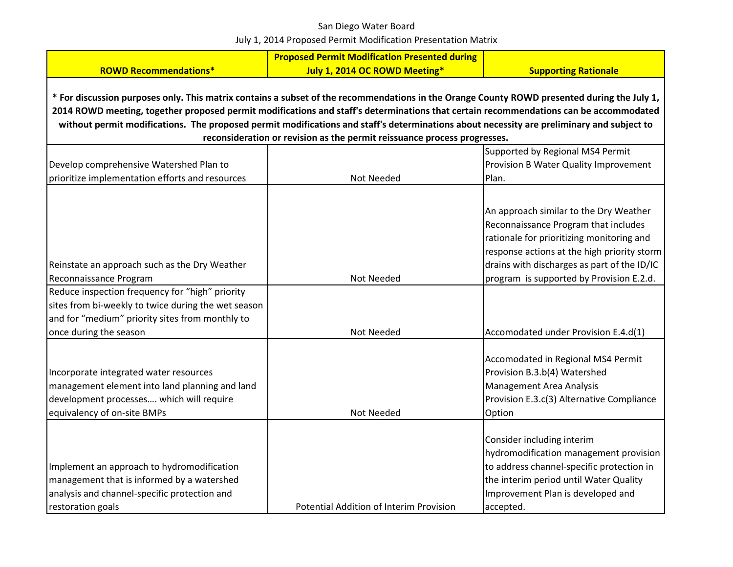|                                                                                                                                                                                                                                                                                                                                                                                                                                   | <b>Proposed Permit Modification Presented during</b> |                                                                                                                                                                                                                                                                       |  |  |
|-----------------------------------------------------------------------------------------------------------------------------------------------------------------------------------------------------------------------------------------------------------------------------------------------------------------------------------------------------------------------------------------------------------------------------------|------------------------------------------------------|-----------------------------------------------------------------------------------------------------------------------------------------------------------------------------------------------------------------------------------------------------------------------|--|--|
| <b>ROWD Recommendations*</b>                                                                                                                                                                                                                                                                                                                                                                                                      | July 1, 2014 OC ROWD Meeting*                        | <b>Supporting Rationale</b>                                                                                                                                                                                                                                           |  |  |
| * For discussion purposes only. This matrix contains a subset of the recommendations in the Orange County ROWD presented during the July 1,<br>2014 ROWD meeting, together proposed permit modifications and staff's determinations that certain recommendations can be accommodated<br>without permit modifications. The proposed permit modifications and staff's determinations about necessity are preliminary and subject to |                                                      |                                                                                                                                                                                                                                                                       |  |  |
| reconsideration or revision as the permit reissuance process progresses.                                                                                                                                                                                                                                                                                                                                                          |                                                      |                                                                                                                                                                                                                                                                       |  |  |
| Develop comprehensive Watershed Plan to<br>prioritize implementation efforts and resources                                                                                                                                                                                                                                                                                                                                        | Not Needed                                           | Supported by Regional MS4 Permit<br>Provision B Water Quality Improvement<br>Plan.                                                                                                                                                                                    |  |  |
| Reinstate an approach such as the Dry Weather<br>Reconnaissance Program                                                                                                                                                                                                                                                                                                                                                           | Not Needed                                           | An approach similar to the Dry Weather<br>Reconnaissance Program that includes<br>rationale for prioritizing monitoring and<br>response actions at the high priority storm<br>drains with discharges as part of the ID/IC<br>program is supported by Provision E.2.d. |  |  |
| Reduce inspection frequency for "high" priority                                                                                                                                                                                                                                                                                                                                                                                   |                                                      |                                                                                                                                                                                                                                                                       |  |  |
| sites from bi-weekly to twice during the wet season<br>and for "medium" priority sites from monthly to<br>once during the season                                                                                                                                                                                                                                                                                                  | Not Needed                                           | Accomodated under Provision E.4.d(1)                                                                                                                                                                                                                                  |  |  |
| Incorporate integrated water resources<br>management element into land planning and land<br>development processes which will require<br>equivalency of on-site BMPs                                                                                                                                                                                                                                                               | Not Needed                                           | Accomodated in Regional MS4 Permit<br>Provision B.3.b(4) Watershed<br>Management Area Analysis<br>Provision E.3.c(3) Alternative Compliance<br>Option                                                                                                                 |  |  |
| Implement an approach to hydromodification<br>management that is informed by a watershed<br>analysis and channel-specific protection and<br>restoration goals                                                                                                                                                                                                                                                                     | Potential Addition of Interim Provision              | Consider including interim<br>hydromodification management provision<br>to address channel-specific protection in<br>the interim period until Water Quality<br>Improvement Plan is developed and<br>accepted.                                                         |  |  |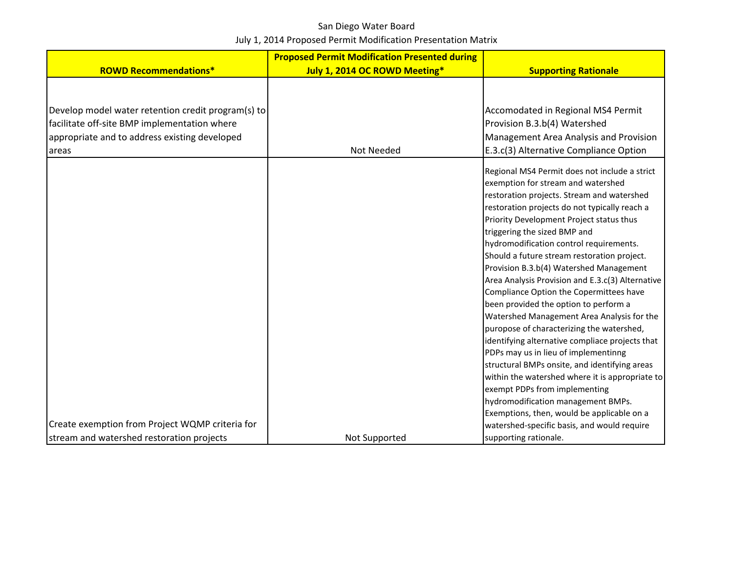|                                                                                                                                                              | <b>Proposed Permit Modification Presented during</b> |                                                                                                                                                                                                                                                                                                                                                                                                                                                                                                                                                                                                                                                                                                                                                                                                                                                                                                                                                            |
|--------------------------------------------------------------------------------------------------------------------------------------------------------------|------------------------------------------------------|------------------------------------------------------------------------------------------------------------------------------------------------------------------------------------------------------------------------------------------------------------------------------------------------------------------------------------------------------------------------------------------------------------------------------------------------------------------------------------------------------------------------------------------------------------------------------------------------------------------------------------------------------------------------------------------------------------------------------------------------------------------------------------------------------------------------------------------------------------------------------------------------------------------------------------------------------------|
| <b>ROWD Recommendations*</b>                                                                                                                                 | July 1, 2014 OC ROWD Meeting*                        | <b>Supporting Rationale</b>                                                                                                                                                                                                                                                                                                                                                                                                                                                                                                                                                                                                                                                                                                                                                                                                                                                                                                                                |
| Develop model water retention credit program(s) to<br>facilitate off-site BMP implementation where<br>appropriate and to address existing developed<br>areas | Not Needed                                           | Accomodated in Regional MS4 Permit<br>Provision B.3.b(4) Watershed<br>Management Area Analysis and Provision<br>E.3.c(3) Alternative Compliance Option                                                                                                                                                                                                                                                                                                                                                                                                                                                                                                                                                                                                                                                                                                                                                                                                     |
|                                                                                                                                                              |                                                      | Regional MS4 Permit does not include a strict<br>exemption for stream and watershed<br>restoration projects. Stream and watershed<br>restoration projects do not typically reach a<br>Priority Development Project status thus<br>triggering the sized BMP and<br>hydromodification control requirements.<br>Should a future stream restoration project.<br>Provision B.3.b(4) Watershed Management<br>Area Analysis Provision and E.3.c(3) Alternative<br>Compliance Option the Copermittees have<br>been provided the option to perform a<br>Watershed Management Area Analysis for the<br>puropose of characterizing the watershed,<br>identifying alternative compliace projects that<br>PDPs may us in lieu of implementinng<br>structural BMPs onsite, and identifying areas<br>within the watershed where it is appropriate to<br>exempt PDPs from implementing<br>hydromodification management BMPs.<br>Exemptions, then, would be applicable on a |
| Create exemption from Project WQMP criteria for                                                                                                              |                                                      | watershed-specific basis, and would require                                                                                                                                                                                                                                                                                                                                                                                                                                                                                                                                                                                                                                                                                                                                                                                                                                                                                                                |
| stream and watershed restoration projects                                                                                                                    | Not Supported                                        | supporting rationale.                                                                                                                                                                                                                                                                                                                                                                                                                                                                                                                                                                                                                                                                                                                                                                                                                                                                                                                                      |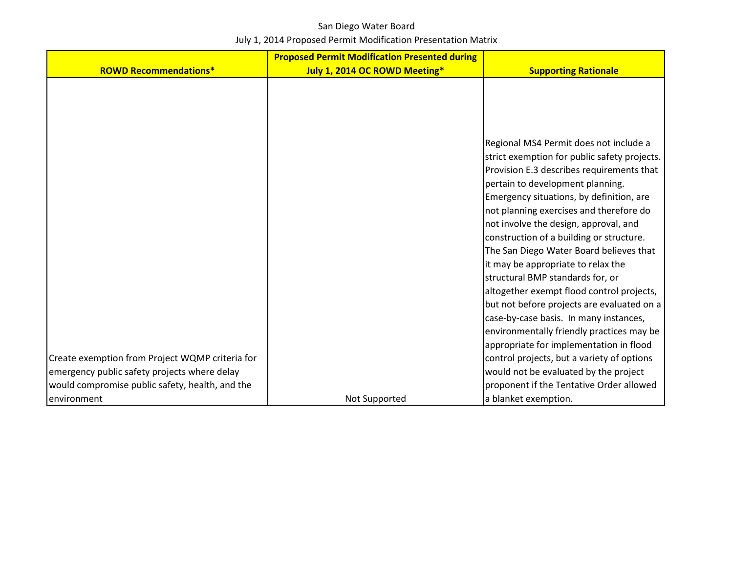|                                                 | <b>Proposed Permit Modification Presented during</b> |                                              |
|-------------------------------------------------|------------------------------------------------------|----------------------------------------------|
| <b>ROWD Recommendations*</b>                    | July 1, 2014 OC ROWD Meeting*                        | <b>Supporting Rationale</b>                  |
|                                                 |                                                      |                                              |
|                                                 |                                                      |                                              |
|                                                 |                                                      |                                              |
|                                                 |                                                      |                                              |
|                                                 |                                                      | Regional MS4 Permit does not include a       |
|                                                 |                                                      | strict exemption for public safety projects. |
|                                                 |                                                      | Provision E.3 describes requirements that    |
|                                                 |                                                      | pertain to development planning.             |
|                                                 |                                                      | Emergency situations, by definition, are     |
|                                                 |                                                      | not planning exercises and therefore do      |
|                                                 |                                                      | not involve the design, approval, and        |
|                                                 |                                                      | construction of a building or structure.     |
|                                                 |                                                      | The San Diego Water Board believes that      |
|                                                 |                                                      | it may be appropriate to relax the           |
|                                                 |                                                      | structural BMP standards for, or             |
|                                                 |                                                      | altogether exempt flood control projects,    |
|                                                 |                                                      | but not before projects are evaluated on a   |
|                                                 |                                                      | case-by-case basis. In many instances,       |
|                                                 |                                                      | environmentally friendly practices may be    |
|                                                 |                                                      | appropriate for implementation in flood      |
| Create exemption from Project WQMP criteria for |                                                      | control projects, but a variety of options   |
| emergency public safety projects where delay    |                                                      | would not be evaluated by the project        |
| would compromise public safety, health, and the |                                                      | proponent if the Tentative Order allowed     |
| environment                                     | Not Supported                                        | a blanket exemption.                         |